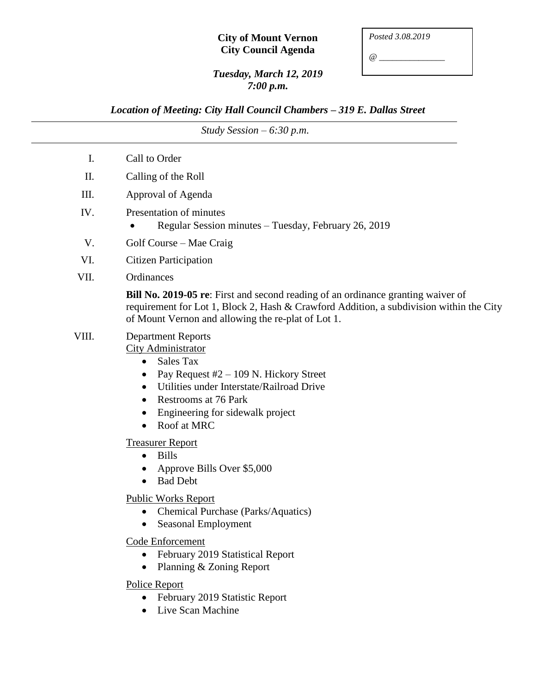## **City of Mount Vernon City Council Agenda**

*@ \_\_\_\_\_\_\_\_\_\_\_\_\_\_\_*

## *Tuesday, March 12, 2019 7:00 p.m.*

*Location of Meeting: City Hall Council Chambers – 319 E. Dallas Street*

*Study Session – 6:30 p.m.* I. Call to Order II. Calling of the Roll III. Approval of Agenda IV. Presentation of minutes • Regular Session minutes – Tuesday, February 26, 2019 V. Golf Course – Mae Craig VI. Citizen Participation VII. Ordinances **Bill No. 2019-05 re**: First and second reading of an ordinance granting waiver of requirement for Lot 1, Block 2, Hash & Crawford Addition, a subdivision within the City of Mount Vernon and allowing the re-plat of Lot 1. VIII. Department Reports City Administrator Sales Tax • Pay Request  $#2 - 109$  N. Hickory Street Utilities under Interstate/Railroad Drive • Restrooms at 76 Park • Engineering for sidewalk project • Roof at MRC Treasurer Report • Bills • Approve Bills Over \$5,000 • Bad Debt Public Works Report • Chemical Purchase (Parks/Aquatics) • Seasonal Employment Code Enforcement • February 2019 Statistical Report • Planning & Zoning Report Police Report • February 2019 Statistic Report

• Live Scan Machine